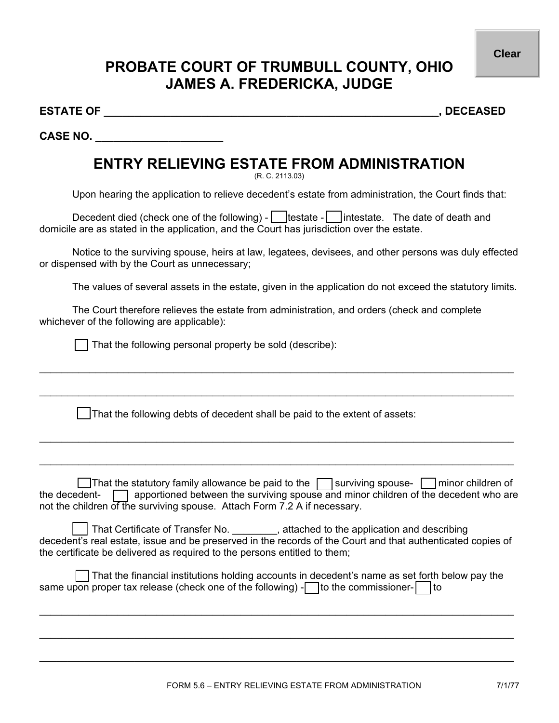**Clear**

## **PROBATE COURT OF TRUMBULL COUNTY, OHIO JAMES A. FREDERICKA, JUDGE**

**ESTATE OF \_\_\_\_\_\_\_\_\_\_\_\_\_\_\_\_\_\_\_\_\_\_\_\_\_\_\_\_\_\_\_\_\_\_\_\_\_\_\_\_\_\_\_\_\_\_\_\_\_\_\_\_\_\_\_, DECEASED** 

**CASE NO. \_\_\_\_\_\_\_\_\_\_\_\_\_\_\_\_\_\_\_\_\_** 

## **ENTRY RELIEVING ESTATE FROM ADMINISTRATION**

(R. C. 2113.03)

Upon hearing the application to relieve decedent's estate from administration, the Court finds that:

Decedent died (check one of the following) -  $\Box$  testate -  $\Box$  intestate. The date of death and domicile are as stated in the application, and the Court has jurisdiction over the estate.

Notice to the surviving spouse, heirs at law, legatees, devisees, and other persons was duly effected or dispensed with by the Court as unnecessary;

 $\_$  ,  $\_$  ,  $\_$  ,  $\_$  ,  $\_$  ,  $\_$  ,  $\_$  ,  $\_$  ,  $\_$  ,  $\_$  ,  $\_$  ,  $\_$  ,  $\_$  ,  $\_$  ,  $\_$  ,  $\_$  ,  $\_$  ,  $\_$  ,  $\_$  ,  $\_$  ,  $\_$  ,  $\_$  ,  $\_$  ,  $\_$  ,  $\_$  ,  $\_$  ,  $\_$  ,  $\_$  ,  $\_$  ,  $\_$  ,  $\_$  ,  $\_$  ,  $\_$  ,  $\_$  ,  $\_$  ,  $\_$  ,  $\_$  ,

 $\_$  ,  $\_$  ,  $\_$  ,  $\_$  ,  $\_$  ,  $\_$  ,  $\_$  ,  $\_$  ,  $\_$  ,  $\_$  ,  $\_$  ,  $\_$  ,  $\_$  ,  $\_$  ,  $\_$  ,  $\_$  ,  $\_$  ,  $\_$  ,  $\_$  ,  $\_$  ,  $\_$  ,  $\_$  ,  $\_$  ,  $\_$  ,  $\_$  ,  $\_$  ,  $\_$  ,  $\_$  ,  $\_$  ,  $\_$  ,  $\_$  ,  $\_$  ,  $\_$  ,  $\_$  ,  $\_$  ,  $\_$  ,  $\_$  ,

 $\_$  ,  $\_$  ,  $\_$  ,  $\_$  ,  $\_$  ,  $\_$  ,  $\_$  ,  $\_$  ,  $\_$  ,  $\_$  ,  $\_$  ,  $\_$  ,  $\_$  ,  $\_$  ,  $\_$  ,  $\_$  ,  $\_$  ,  $\_$  ,  $\_$  ,  $\_$  ,  $\_$  ,  $\_$  ,  $\_$  ,  $\_$  ,  $\_$  ,  $\_$  ,  $\_$  ,  $\_$  ,  $\_$  ,  $\_$  ,  $\_$  ,  $\_$  ,  $\_$  ,  $\_$  ,  $\_$  ,  $\_$  ,  $\_$  ,

 $\_$  ,  $\_$  ,  $\_$  ,  $\_$  ,  $\_$  ,  $\_$  ,  $\_$  ,  $\_$  ,  $\_$  ,  $\_$  ,  $\_$  ,  $\_$  ,  $\_$  ,  $\_$  ,  $\_$  ,  $\_$  ,  $\_$  ,  $\_$  ,  $\_$  ,  $\_$  ,  $\_$  ,  $\_$  ,  $\_$  ,  $\_$  ,  $\_$  ,  $\_$  ,  $\_$  ,  $\_$  ,  $\_$  ,  $\_$  ,  $\_$  ,  $\_$  ,  $\_$  ,  $\_$  ,  $\_$  ,  $\_$  ,  $\_$  ,

The values of several assets in the estate, given in the application do not exceed the statutory limits.

The Court therefore relieves the estate from administration, and orders (check and complete whichever of the following are applicable):

That the following personal property be sold (describe):

That the following debts of decedent shall be paid to the extent of assets:

That the statutory family allowance be paid to the  $\Box$  surviving spouse-  $\Box$  minor children of the decedent-  $\Box$  apportioned between the surviving spouse and minor children of the decedent who are not the children of the surviving spouse. Attach Form 7.2 A if necessary.

That Certificate of Transfer No.  $\qquad \qquad$ , attached to the application and describing decedent's real estate, issue and be preserved in the records of the Court and that authenticated copies of the certificate be delivered as required to the persons entitled to them;

|  | That the financial institutions holding accounts in decedent's name as set forth below pay the                                |  |  |
|--|-------------------------------------------------------------------------------------------------------------------------------|--|--|
|  | same upon proper tax release (check one of the following) $\lceil \cdot \rceil$ to the commissioner- $\lceil \cdot \rceil$ to |  |  |

 $\_$  ,  $\_$  ,  $\_$  ,  $\_$  ,  $\_$  ,  $\_$  ,  $\_$  ,  $\_$  ,  $\_$  ,  $\_$  ,  $\_$  ,  $\_$  ,  $\_$  ,  $\_$  ,  $\_$  ,  $\_$  ,  $\_$  ,  $\_$  ,  $\_$  ,  $\_$  ,  $\_$  ,  $\_$  ,  $\_$  ,  $\_$  ,  $\_$  ,  $\_$  ,  $\_$  ,  $\_$  ,  $\_$  ,  $\_$  ,  $\_$  ,  $\_$  ,  $\_$  ,  $\_$  ,  $\_$  ,  $\_$  ,  $\_$  ,

 $\_$  ,  $\_$  ,  $\_$  ,  $\_$  ,  $\_$  ,  $\_$  ,  $\_$  ,  $\_$  ,  $\_$  ,  $\_$  ,  $\_$  ,  $\_$  ,  $\_$  ,  $\_$  ,  $\_$  ,  $\_$  ,  $\_$  ,  $\_$  ,  $\_$  ,  $\_$  ,  $\_$  ,  $\_$  ,  $\_$  ,  $\_$  ,  $\_$  ,  $\_$  ,  $\_$  ,  $\_$  ,  $\_$  ,  $\_$  ,  $\_$  ,  $\_$  ,  $\_$  ,  $\_$  ,  $\_$  ,  $\_$  ,  $\_$  ,

 $\_$  ,  $\_$  ,  $\_$  ,  $\_$  ,  $\_$  ,  $\_$  ,  $\_$  ,  $\_$  ,  $\_$  ,  $\_$  ,  $\_$  ,  $\_$  ,  $\_$  ,  $\_$  ,  $\_$  ,  $\_$  ,  $\_$  ,  $\_$  ,  $\_$  ,  $\_$  ,  $\_$  ,  $\_$  ,  $\_$  ,  $\_$  ,  $\_$  ,  $\_$  ,  $\_$  ,  $\_$  ,  $\_$  ,  $\_$  ,  $\_$  ,  $\_$  ,  $\_$  ,  $\_$  ,  $\_$  ,  $\_$  ,  $\_$  ,